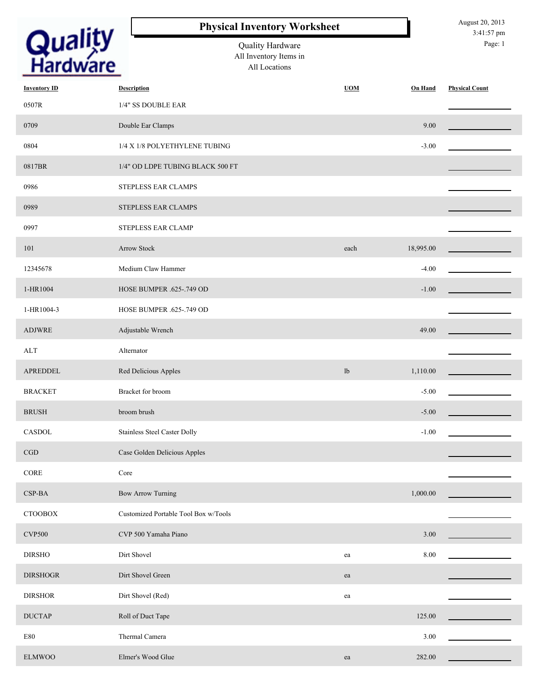|                            | <b>Physical Inventory Worksheet</b>                         |            |           | August 20, 2013<br>3:41:57 pm |
|----------------------------|-------------------------------------------------------------|------------|-----------|-------------------------------|
| <b>Quality</b><br>Hardware | Quality Hardware<br>All Inventory Items in<br>All Locations |            |           | Page: 1                       |
| <b>Inventory ID</b>        | <b>Description</b>                                          | <b>UOM</b> | On Hand   | <b>Physical Count</b>         |
| 0507R                      | 1/4" SS DOUBLE EAR                                          |            |           |                               |
| 0709                       | Double Ear Clamps                                           |            | 9.00      |                               |
| 0804                       | 1/4 X 1/8 POLYETHYLENE TUBING                               |            | $-3.00$   |                               |
| 0817BR                     | 1/4" OD LDPE TUBING BLACK 500 FT                            |            |           |                               |
| 0986                       | STEPLESS EAR CLAMPS                                         |            |           |                               |
| 0989                       | STEPLESS EAR CLAMPS                                         |            |           |                               |
| 0997                       | STEPLESS EAR CLAMP                                          |            |           |                               |
| 101                        | <b>Arrow Stock</b>                                          | each       | 18,995.00 |                               |
| 12345678                   | Medium Claw Hammer                                          |            | $-4.00$   |                               |
| 1-HR1004                   | HOSE BUMPER .625-.749 OD                                    |            | $-1.00$   |                               |
| 1-HR1004-3                 | HOSE BUMPER .625-.749 OD                                    |            |           |                               |
| <b>ADJWRE</b>              | Adjustable Wrench                                           |            | 49.00     |                               |
| ALT                        | Alternator                                                  |            |           |                               |
| APREDDEL                   | Red Delicious Apples                                        | lb         | 1,110.00  |                               |
| <b>BRACKET</b>             | Bracket for broom                                           |            | $-5.00$   |                               |
| $\rm BRUSH$                | broom brush                                                 |            | $-5.00$   |                               |
| CASDOL                     | <b>Stainless Steel Caster Dolly</b>                         |            | $-1.00$   |                               |
| CGD                        | Case Golden Delicious Apples                                |            |           |                               |
| $\sf{CORE}$                | Core                                                        |            |           |                               |
| CSP-BA                     | <b>Bow Arrow Turning</b>                                    |            | 1,000.00  |                               |
| <b>CTOOBOX</b>             | Customized Portable Tool Box w/Tools                        |            |           |                               |
| <b>CVP500</b>              | CVP 500 Yamaha Piano                                        |            | 3.00      |                               |
| <b>DIRSHO</b>              | Dirt Shovel                                                 | ea         | 8.00      |                               |
| <b>DIRSHOGR</b>            | Dirt Shovel Green                                           | ea         |           |                               |
| <b>DIRSHOR</b>             | Dirt Shovel (Red)                                           | ea         |           |                               |
| <b>DUCTAP</b>              | Roll of Duct Tape                                           |            | 125.00    |                               |
| E80                        | Thermal Camera                                              |            | 3.00      |                               |
| <b>ELMWOO</b>              | Elmer's Wood Glue                                           | ea         | 282.00    |                               |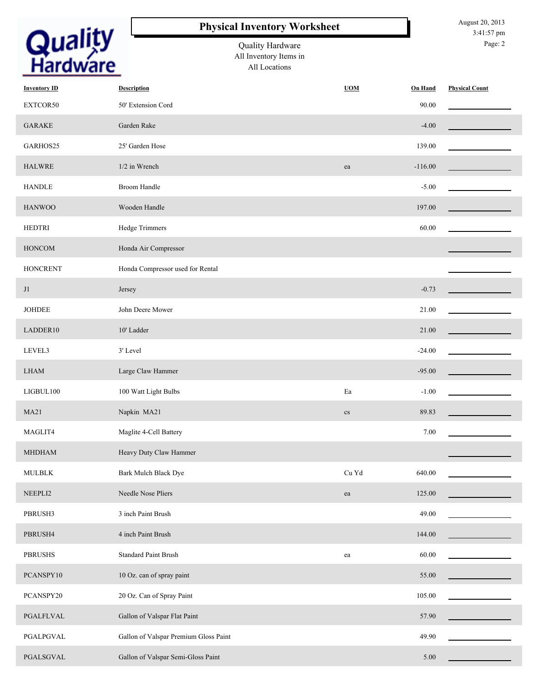|                            | <b>Physical Inventory Worksheet</b>                         |            |                | August 20, 2013<br>3:41:57 pm |
|----------------------------|-------------------------------------------------------------|------------|----------------|-------------------------------|
| <b>Quality</b><br>Hardware | Quality Hardware<br>All Inventory Items in<br>All Locations |            |                | Page: 2                       |
| <b>Inventory ID</b>        | <b>Description</b>                                          | <b>UOM</b> | <b>On Hand</b> | <b>Physical Count</b>         |
| EXTCOR50                   | 50' Extension Cord                                          |            | 90.00          |                               |
| <b>GARAKE</b>              | Garden Rake                                                 |            | $-4.00$        |                               |
| GARHOS25                   | 25' Garden Hose                                             |            | 139.00         |                               |
| <b>HALWRE</b>              | 1/2 in Wrench                                               | ea         | $-116.00$      |                               |
| <b>HANDLE</b>              | <b>Broom Handle</b>                                         |            | $-5.00$        |                               |
| <b>HANWOO</b>              | Wooden Handle                                               |            | 197.00         |                               |
| <b>HEDTRI</b>              | Hedge Trimmers                                              |            | 60.00          |                               |
| <b>HONCOM</b>              | Honda Air Compressor                                        |            |                |                               |
| <b>HONCRENT</b>            | Honda Compressor used for Rental                            |            |                |                               |
| J1                         | Jersey                                                      |            | $-0.73$        |                               |
| <b>JOHDEE</b>              | John Deere Mower                                            |            | 21.00          |                               |
| LADDER10                   | 10' Ladder                                                  |            | 21.00          |                               |
| LEVEL3                     | 3' Level                                                    |            | $-24.00$       |                               |
| <b>LHAM</b>                | Large Claw Hammer                                           |            | $-95.00$       |                               |
| LIGBUL100                  | 100 Watt Light Bulbs                                        | Ea         | $-1.00$        |                               |
| <b>MA21</b>                | Napkin MA21                                                 | $\rm{cs}$  | 89.83          |                               |
| MAGLIT4                    | Maglite 4-Cell Battery                                      |            | 7.00           |                               |
| <b>MHDHAM</b>              | Heavy Duty Claw Hammer                                      |            |                |                               |
| <b>MULBLK</b>              | Bark Mulch Black Dye                                        | Cu Yd      | 640.00         |                               |
| NEEPLI2                    | Needle Nose Pliers                                          | ea         | 125.00         |                               |
| PBRUSH3                    | 3 inch Paint Brush                                          |            | 49.00          |                               |
| PBRUSH4                    | 4 inch Paint Brush                                          |            | 144.00         |                               |
| <b>PBRUSHS</b>             | <b>Standard Paint Brush</b>                                 | ea         | 60.00          |                               |
| PCANSPY10                  | 10 Oz. can of spray paint                                   |            | 55.00          |                               |
| PCANSPY20                  | 20 Oz. Can of Spray Paint                                   |            | 105.00         |                               |
| PGALFLVAL                  | Gallon of Valspar Flat Paint                                |            | 57.90          |                               |
| PGALPGVAL                  | Gallon of Valspar Premium Gloss Paint                       |            | 49.90          |                               |
| PGALSGVAL                  | Gallon of Valspar Semi-Gloss Paint                          |            | 5.00           |                               |